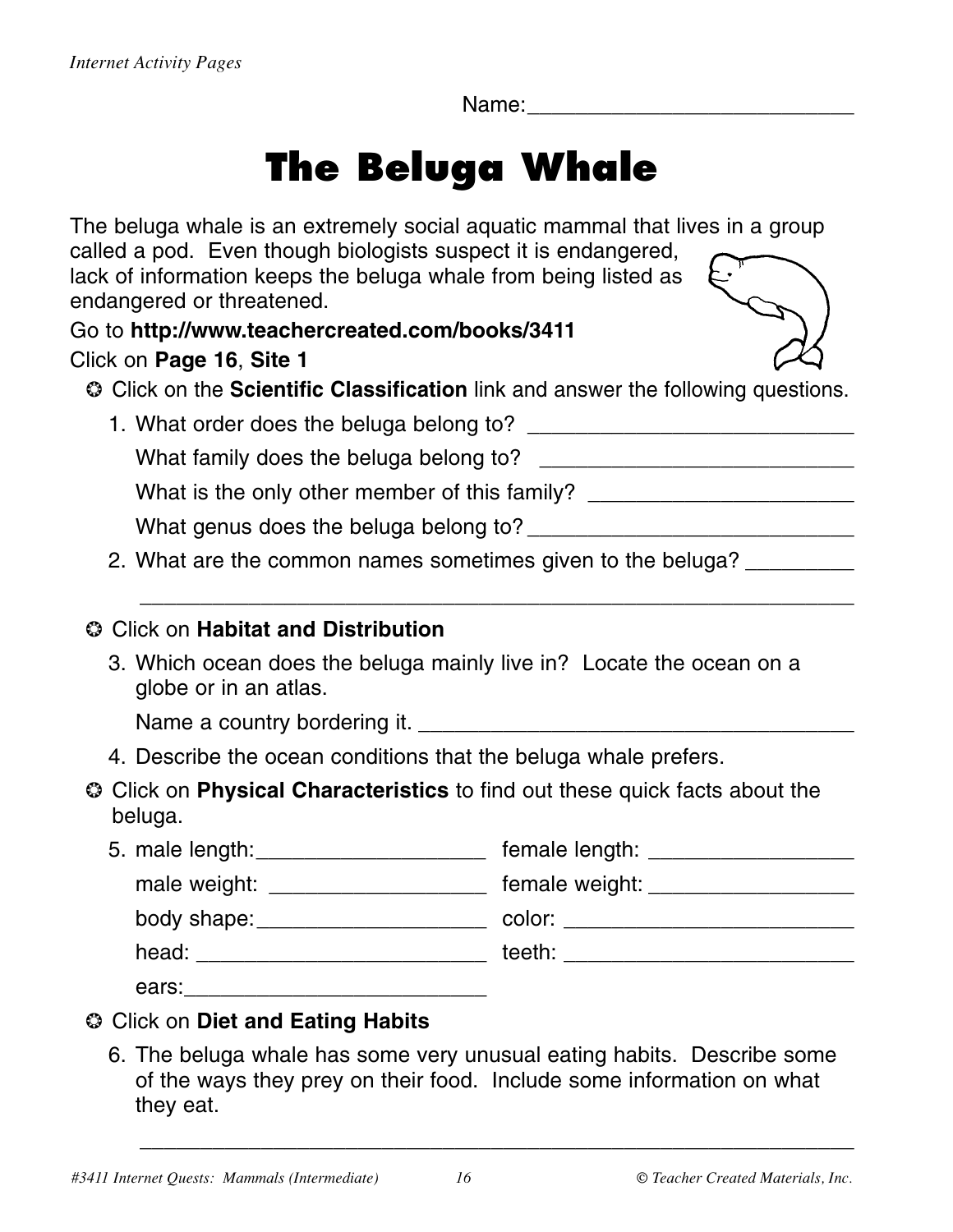Name:

## **The Beluga Whale**

| The beluga whale is an extremely social aquatic mammal that lives in a group                                                      |                                                                                  |
|-----------------------------------------------------------------------------------------------------------------------------------|----------------------------------------------------------------------------------|
| called a pod. Even though biologists suspect it is endangered,<br>lack of information keeps the beluga whale from being listed as |                                                                                  |
| endangered or threatened.                                                                                                         |                                                                                  |
| Go to http://www.teachercreated.com/books/3411                                                                                    |                                                                                  |
| Click on Page 16, Site 1                                                                                                          |                                                                                  |
| Click on the Scientific Classification link and answer the following questions.                                                   |                                                                                  |
|                                                                                                                                   |                                                                                  |
|                                                                                                                                   |                                                                                  |
|                                                                                                                                   | What is the only other member of this family? __________________________________ |
|                                                                                                                                   |                                                                                  |
| 2. What are the common names sometimes given to the beluga?                                                                       |                                                                                  |
|                                                                                                                                   |                                                                                  |
| © Click on Habitat and Distribution                                                                                               |                                                                                  |
| 3. Which ocean does the beluga mainly live in? Locate the ocean on a<br>globe or in an atlas.                                     |                                                                                  |
|                                                                                                                                   |                                                                                  |
| 4. Describe the ocean conditions that the beluga whale prefers.                                                                   |                                                                                  |
| Cick on Physical Characteristics to find out these quick facts about the<br>beluga.                                               |                                                                                  |
| 5. male length: ________________________ female length: ________________________                                                  |                                                                                  |
|                                                                                                                                   | male weight: _________________________ female weight: __________________________ |
|                                                                                                                                   |                                                                                  |
|                                                                                                                                   |                                                                                  |
|                                                                                                                                   |                                                                                  |
| <b>Click on Diet and Eating Habits</b><br>◎                                                                                       |                                                                                  |
|                                                                                                                                   |                                                                                  |

6. The beluga whale has some very unusual eating habits. Describe some of the ways they prey on their food. Include some information on what they eat.

\_\_\_\_\_\_\_\_\_\_\_\_\_\_\_\_\_\_\_\_\_\_\_\_\_\_\_\_\_\_\_\_\_\_\_\_\_\_\_\_\_\_\_\_\_\_\_\_\_\_\_\_\_\_\_\_\_\_\_